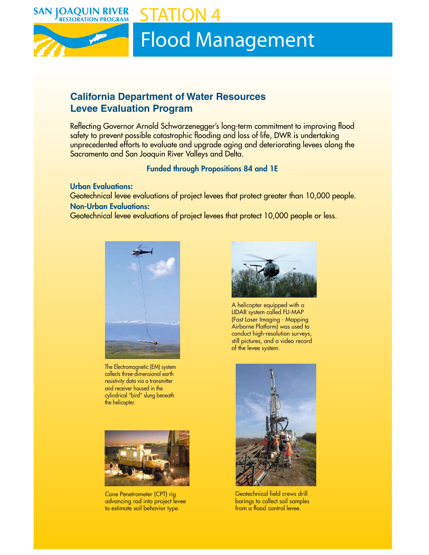

### **STATION 4**

### **Flood Management**

### **California Department of Water Resources Levee Evaluation Program**

Reflecting Governor Arnold Schwarzenegger's long-term commitment to improving flood safety to prevent possible catastrophic flooding and loss of life, DWR is undertaking unprecedented efforts to evaluate and upgrade aging and deteriorating levees along the Sacramento and San Joaquin River Valleys and Delta.

#### Funded through Propositions 84 and 1E

#### Urban Evaluations:

Geotechnical levee evaluations of project levees that protect greater than 10,000 people. Non-Urban Evaluations:

Geotechnical levee evaluations of project levees that protect 10,000 people or less.



The Electromagnetic (EM) system collects three-dimensional earth resistivity data via a transmitter and receiver housed in the cylindrical "bird" slung beneath the helicopter.



Cone Penetrometer (CPT) rig advancing rod into project levee to estimate soil behavior type.



A helicopter equipped with a LIDAR system called FLI-MAP (Fast Laser Imaging - Mapping Airborne Platform) was used to conduct high-resolution surveys, still pictures, and a video record of the levee system.



Geotechnical field crews drill borings to collect soil samples from a flood control levee.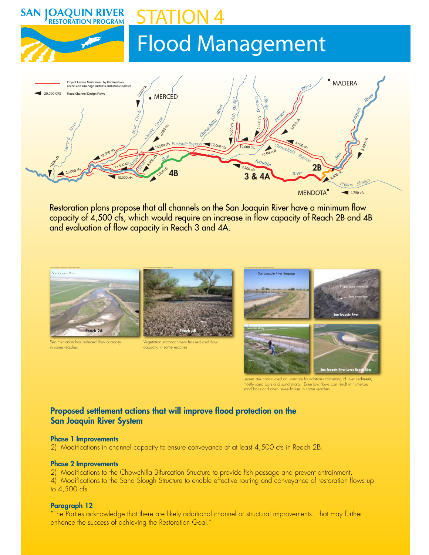

## **Flood Management**



**STATION 4**

Restoration plans propose that all channels on the San Joaquin River have a minimum flow capacity of 4,500 cfs, which would require an increase in flow capacity of Reach 2B and 4B and evaluation of flow capacity in Reach 3 and 4A.



d on unstable foundations consisting of river sediment mostly sand bars and sand strata. Even low flows can result in nume sand boils and often levee failure in some reaches.

San Joaquin River Levee Repair Sites

#### Proposed settlement actions that will improve flood protection on the San Joaquin River System

#### Phase 1 Improvements

2) Modifications in channel capacity to ensure conveyance of at least 4,500 cfs in Reach 2B.

#### Phase 2 Improvements

2) Modifications to the Chowchilla Bifurcation Structure to provide fish passage and prevent entrainment. 4) Modifications to the Sand Slough Structure to enable effective routing and conveyance of restoration flows up to 4,500 cfs.

#### Paragraph 12

"The Parties acknowledge that there are likely additional channel or structural improvements...that may further enhance the success of achieving the Restoration Goal."